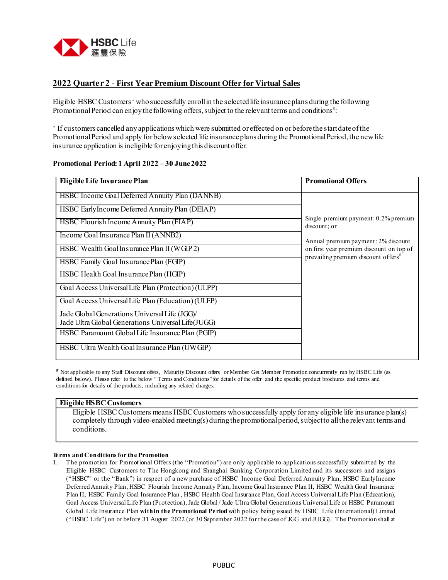

### **2022 Quarter 2 - First Year Premium Discount Offer for Virtual Sales**

Eligible HSBC Customers **<sup>+</sup>** who successfully enroll in the selected life insurance plans during the following Promotional Period can enjoy the following offers, subject to the relevant terms and conditions<sup>#</sup>:

**+** If customers cancelled any applications which were submitted or effected on or before the start date of the Promotional Period and apply for below selected life insurance plans during the Promotional Period, the new life insurance application is ineligible for enjoying this discount offer.

### **Promotional Period: 1 April 2022 – 30 June2022**

| Eligible Life Insurance Plan                                                                        | <b>Promotional Offers</b>                               |
|-----------------------------------------------------------------------------------------------------|---------------------------------------------------------|
| HSBC Income Goal Deferred Annuity Plan (DANNB)                                                      |                                                         |
| HSBC EarlyIncome Deferred Annuity Plan (DEIAP)                                                      |                                                         |
| HSBC Flourish Income Annuity Plan (FIAP)                                                            | Single premium payment: $0.2\%$ premium<br>discount; or |
| Income Goal Insurance Plan II (ANNB2)                                                               | Annual premium payment: 2% discount                     |
| HSBC Wealth Goal Insurance Plan II (WGIP 2)                                                         | on first year premium discount on top of                |
| HSBC Family Goal Insurance Plan (FGIP)                                                              | prevailing premium discount offers <sup>#</sup>         |
| HSBC Health Goal Insurance Plan (HGIP)                                                              |                                                         |
| Goal Access Universal Life Plan (Protection) (ULPP)                                                 |                                                         |
| Goal Access Universal Life Plan (Education) (ULEP)                                                  |                                                         |
| Jade Global Generations Universal Life (JGG)/<br>Jade Ultra Global Generations Universal Life(JUGG) |                                                         |
| HSBC Paramount Global Life Insurance Plan (PGIP)                                                    |                                                         |
| HSBC Ultra Wealth Goal Insurance Plan (UWGIP)                                                       |                                                         |

# Not applicable to any Staff Discount offers, Maturity Discount offers or Member Get Member Promotion concurrently run by HSBC Life (as defined below). Please refer to the below " Terms and Conditions" for details of the offer and the specific product brochures and terms and conditions for details of the products, including any related charges.

### **Eligible HSBC Customers**

Eligible HSBC Customers means HSBC Customers who successfully apply for any eligible life insurance plan(s) completely through video-enabled meeting(s) during the promotional period, subject to all the relevant terms and conditions.

#### **Terms and Conditionsfor the Promotion**

1. The promotion for Promotional Offers (the "Promotion") are only applicable to applications successfully submitted by the Eligible HSBC Customers to The Hongkong and Shanghai Banking Corporation Limited and its successors and assigns ("HSBC" or the "Bank") in respect of a new purchase of HSBC Income Goal Deferred Annuity Plan, HSBC EarlyIncome Deferred Annuity Plan, HSBC Flourish Income Annuity Plan, Income Goal Insurance Plan II, HSBC Wealth Goal Insurance Plan II, HSBC Family Goal Insurance Plan , HSBC Health Goal Insurance Plan, Goal Access Universal Life Plan (Education), Goal Access Universal Life Plan (Protection), Jade Global / Jade Ultra Global Generations Universal Life or HSBC Paramount Global Life Insurance Plan **within the Promotional Period** with policy being issued by HSBC Life (International) Limited ("HSBC Life") on or before 31 August 2022 (or 30 September 2022 for the case of JGG and JUGG). The Promotion shall at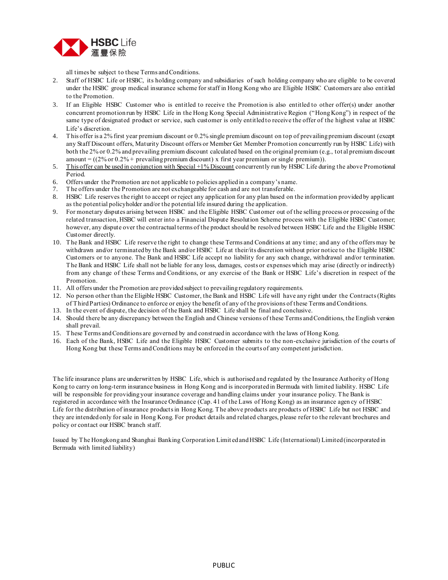

all times be subject to these Terms and Conditions.

- 2. Staff of HSBC Life or HSBC, its holding company and subsidiaries of such holding company who are eligible to be covered under the HSBC group medical insurance scheme for staff in Hong Kong who are Eligible HSBC Customers are also entitled to the Promotion.
- 3. If an Eligible HSBC Customer who is entitled to receive the Promotion is also entitled to other offer(s) under another concurrent promotion run by HSBC Life in the Hong Kong Special Administrative Region ("Hong Kong") in respect of the same type of designated product or service, such customer is only entitled to receive the offer of the highest value at HSBC Life's discretion.
- 4. This offer is a 2% first year premium discount or 0.2% single premium discount on top of prevailing premium discount (except any Staff Discount offers, Maturity Discount offers or Member Get Member Promotion concurrently run by HSBC Life) with both the 2% or 0.2% and prevailing premium discount calculated based on the original premium (e.g., tot al premium discount amount =  $((2\% \text{ or } 0.2\% + \text{ prevailing premium discount}) \times \text{first year premium or single premium})$ .
- 5. This offer can be used in conjunction with Special +1% Discount concurrently run by HSBC Life during the above Promotional Period.
- 6. Offers under the Promotion are not applicable to policies applied in a company's name.
- 7. The offers under the Promotion are not exchangeable for cash and are not transferable.
- 8. HSBC Life reserves the right to accept or reject any application for any plan based on the information provided by applicant as the potential policyholder and/or the potential life insured during the application.
- 9. For monetary disputes arising between HSBC and the Eligible HSBC Customer out of the selling process or processing of the related transaction, HSBC will enter into a Financial Dispute Resolution Scheme process with the Eligible HSBC Customer; however, any dispute over the contractual terms of the product should be resolved between HSBC Life and the Eligible HSBC Customer directly.
- 10. The Bank and HSBC Life reserve the right to change these Terms and Conditions at any time; and any of the offers may be withdrawn and/or terminated by the Bank and/or HSBC Life at their/its discretion without prior notice to the Eligible HSBC Customers or to anyone. The Bank and HSBC Life accept no liability for any such change, withdrawal and/or termination. The Bank and HSBC Life shall not be liable for any loss, damages, costs or expenses which may arise (directly or indirectly) from any change of these Terms and Conditions, or any exercise of the Bank or HSBC Life's discretion in respect of the Promotion.
- 11. All offers under the Promotion are provided subject to prevailing regulatory requirements.
- 12. No person other than the Eligible HSBC Customer, the Bank and HSBC Life will have any right under the Contracts (Rights of Third Parties) Ordinance to enforce or enjoy the benefit of any of the provisions of these Terms and Conditions.
- 13. In the event of dispute, the decision of the Bank and HSBC Life shall be final and conclusive.
- 14. Should there be any discrepancy between the English and Chinese versions of these Terms and Conditions, the English version shall prevail.
- 15. These Terms and Conditions are governed by and construed in accordance with the laws of Hong Kong.
- 16. Each of the Bank, HSBC Life and the Eligible HSBC Customer submits to the non-exclusive jurisdiction of the courts of Hong Kong but these Terms and Conditions may be enforced in the courts of any competent jurisdiction.

The life insurance plans are underwritten by HSBC Life, which is authorised and regulated by the Insurance Authority of Hong Kong to carry on long-term insurance business in Hong Kong and is incorporated in Bermuda with limited liability. HSBC Life will be responsible for providing your insurance coverage and handling claims under your insurance policy. The Bank is registered in accordance with the Insurance Ordinance (Cap. 41 of the Laws of Hong Kong) as an insurance agen cy of HSBC Life for the distribution of insurance products in Hong Kong. The above products are products of HSBC Life but not HSBC and they are intended only for sale in Hong Kong. For product details and related charges, please refer to the relevant brochures and policy or contact our HSBC branch staff.

Issued by The Hongkong and Shanghai Banking Corporation Limit ed and HSBC Life (International) Limited (incorporated in Bermuda with limited liability)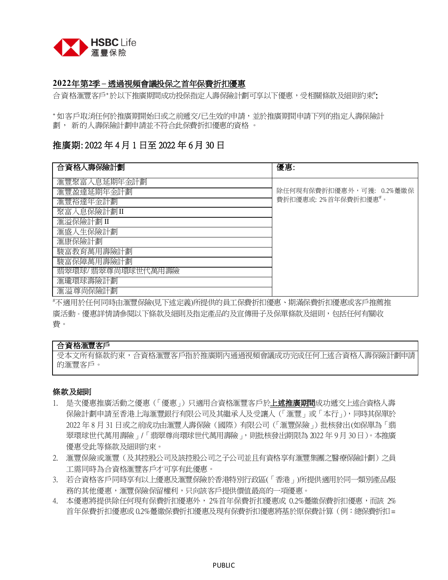

# **2022**年第**2**季 **–** 透過視頻會議投保之首年保費折扣優惠

合資格滙豐客戶**<sup>+</sup>**於以下推廣期間成功投保指定人壽保險計劃可享以下優惠,受相關條款及細則約束# :

**<sup>+</sup>** 如客戶取消任何於推廣期開始日或之前遞交/已生效的申請,並於推廣期間申請下列的指定人壽保險計 劃, 新的人壽保險計劃申請並不符合此保費折扣優惠的資格 。

# 推廣期: 2022 年 4 月 1 日至 2022 年 6 月 30 日

| 合資格人壽保險計劃         | 優惠:                      |
|-------------------|--------------------------|
| 滙豐聚富入息延期年金計劃      |                          |
| 滙豐盈達延期年金計劃        | 除任何現有保費折扣優惠外,可獲: 0.2%躉繳保 |
| 滙豐裕達年金計劃          | 費折扣優惠或: 2%首年保費折扣優惠#。     |
| 聚富入息保險計劃Ⅱ         |                          |
| 滙溢保險計劃 II         |                          |
| 滙盛人生保險計劃          |                          |
| 滙康保險計劃            |                          |
| 駿富教育萬用壽險計劃        |                          |
| 駿富保障萬用壽險計劃        |                          |
| 翡翠環球/翡翠尊尚環球世代萬用壽險 |                          |
| 滙瓏環球壽險計劃          |                          |
| 滙溢尊尚保險計劃          |                          |

#不適用於任何同時由滙豐保險(見下述定義)所提供的員工保費折扣優惠、期滿保費折扣優惠或客戶推薦推 廣活動。優惠詳情請參閱以下條款及細則及指定產品的及宣傳冊子及保單條款及細則,包括任何有關收 費。

# 合資格滙豐客戶

受本文所有條款約束,合資格滙豐客戶指於推廣期內通過視頻會議成功完成任何上述合資格人壽保險計劃申請 的滙豐客戶。

# 條款及細則

- 1. 是次優惠推廣活動之優惠(「優惠」)只適用合資格滙豐客戶於**上述推廣期間**成功遞交上述合資格人壽 保險計劃申請至香港上海滙豐銀行有限公司及其繼承人及受讓人(「滙豐」或「本行」),同時其保單於 2022 年 8 月 31 日或之前成功由滙豐人壽保險(國際)有限公司(「滙豐保險」)批核發出(如保單為「翡 翠環球世代萬用壽險」/「翡翠尊尚環球世代萬用壽險」,則批核發出期限為 2022 年 9月 30日)。本推廣 優惠受此等條款及細則約束。
- 2. 滙豐保險或滙豐(及其控股公司及該控股公司之子公司並且有資格享有滙豐集團之醫療保險計劃)之員 工需同時為合資格滙豐客戶才可享有此優惠。
- 3. 若合資格客戶同時享有以上優惠及滙豐保險於香港特別行政區(「香港」)所提供適用於同一類別產品/服 務的其他優惠,滙豐保險保留權利,只向該客戶提供價值最高的一項優惠。
- 4. 本優惠將提供除任何現有保費折扣優惠外,2%首年保費折扣優惠或 0.2%躉繳保費折扣優惠,而該 2% 首年保費折扣優惠或 0.2%躉繳保費折扣優惠及現有保費折扣優惠將基於原保費計算(例:總保費折扣 =